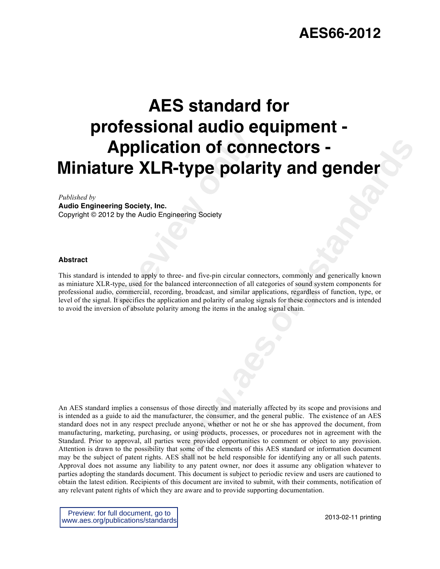# **AES66-2012**

# **Provided Constrains the Constraint Constraint Constraint Constraint Constraint Society, Inc.<br>
Preview the Audio Engineering Society<br>
Preview the Audio Engineering Society<br>
Etherded to apply to three- and five-pin circular AES standard for professional audio equipment - Application of connectors - Miniature XLR-type polarity and gender**

#### *Published by*

**Audio Engineering Society, Inc.** Copyright © 2012 by the Audio Engineering Society

#### **Abstract**

This standard is intended to apply to three- and five-pin circular connectors, commonly and generically known as miniature XLR-type, used for the balanced interconnection of all categories of sound system components for professional audio, commercial, recording, broadcast, and similar applications, regardless of function, type, or level of the signal. It specifies the application and polarity of analog signals for these connectors and is intended to avoid the inversion of absolute polarity among the items in the analog signal chain.

**connections -**<br> **type polarity and gender**<br> **e** and five-pin circular connectors, commonly and generically known<br>
enering Society<br>
enering society<br>
are and invisite applications, regardless of function, type, or<br>
also bro An AES standard implies a consensus of those directly and materially affected by its scope and provisions and is intended as a guide to aid the manufacturer, the consumer, and the general public. The existence of an AES standard does not in any respect preclude anyone, whether or not he or she has approved the document, from manufacturing, marketing, purchasing, or using products, processes, or procedures not in agreement with the Standard. Prior to approval, all parties were provided opportunities to comment or object to any provision. Attention is drawn to the possibility that some of the elements of this AES standard or information document may be the subject of patent rights. AES shall not be held responsible for identifying any or all such patents. Approval does not assume any liability to any patent owner, nor does it assume any obligation whatever to parties adopting the standards document. This document is subject to periodic review and users are cautioned to obtain the latest edition. Recipients of this document are invited to submit, with their comments, notification of any relevant patent rights of which they are aware and to provide supporting documentation.

Preview: for full document, go to www.aes.org/publications/standards

2013-02-11 printing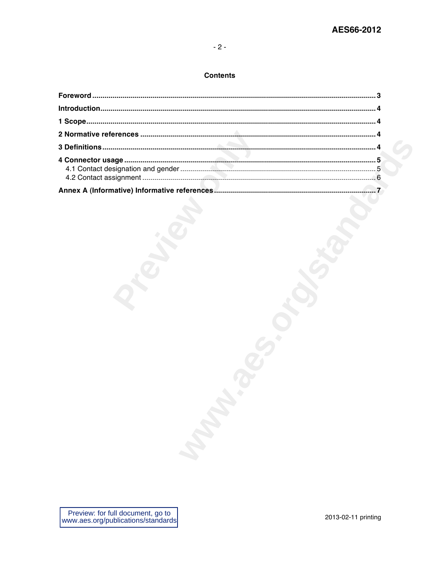# $-2-$

# **Contents**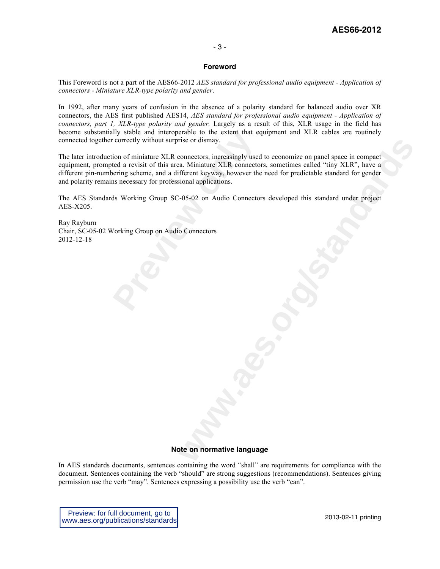# **AES66-2012**

#### - 3 -

#### **Foreword**

This Foreword is not a part of the AES66-2012 *AES standard for professional audio equipment - Application of connectors - Miniature XLR-type polarity and gender*.

In 1992, after many years of confusion in the absence of a polarity standard for balanced audio over XR connectors, the AES first published AES14, *AES standard for professional audio equipment - Application of connectors, part 1, XLR-type polarity and gender.* Largely as a result of this, XLR usage in the field has become substantially stable and interoperable to the extent that equipment and XLR cables are routinely connected together correctly without surprise or dismay.

Ily stable and interoperable to the extent that evertectly without surprise or dismay.<br>
ion of miniature XLR connectors, increasingly used<br>
ted a revisit of this area. Miniature XLR connecto<br>
erring scheme, and a different rise or dismay.<br>
The anticometers, increasingly used to economize on panel space in compact<br>
a. Miniature XI-R connectors, sometimes called "thry XI-R", have a<br>
fferent leyway, however the need for predictable standard for The later introduction of miniature XLR connectors, increasingly used to economize on panel space in compact equipment, prompted a revisit of this area. Miniature XLR connectors, sometimes called "tiny XLR", have a different pin-numbering scheme, and a different keyway, however the need for predictable standard for gender and polarity remains necessary for professional applications.

The AES Standards Working Group SC-05-02 on Audio Connectors developed this standard under project AES-X205.

Ray Rayburn Chair, SC-05-02 Working Group on Audio Connectors 2012-12-18

# **Note on normative language**

In AES standards documents, sentences containing the word "shall" are requirements for compliance with the document. Sentences containing the verb "should" are strong suggestions (recommendations). Sentences giving permission use the verb "may". Sentences expressing a possibility use the verb "can".

Preview: for full document, go to www.aes.org/publications/standards

2013-02-11 printing